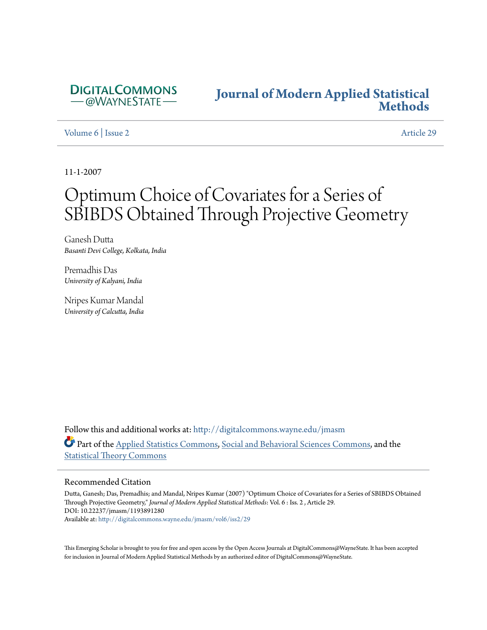

# **[Journal of Modern Applied Statistical](http://digitalcommons.wayne.edu/jmasm?utm_source=digitalcommons.wayne.edu%2Fjmasm%2Fvol6%2Fiss2%2F29&utm_medium=PDF&utm_campaign=PDFCoverPages) [Methods](http://digitalcommons.wayne.edu/jmasm?utm_source=digitalcommons.wayne.edu%2Fjmasm%2Fvol6%2Fiss2%2F29&utm_medium=PDF&utm_campaign=PDFCoverPages)**

[Volume 6](http://digitalcommons.wayne.edu/jmasm/vol6?utm_source=digitalcommons.wayne.edu%2Fjmasm%2Fvol6%2Fiss2%2F29&utm_medium=PDF&utm_campaign=PDFCoverPages) | [Issue 2](http://digitalcommons.wayne.edu/jmasm/vol6/iss2?utm_source=digitalcommons.wayne.edu%2Fjmasm%2Fvol6%2Fiss2%2F29&utm_medium=PDF&utm_campaign=PDFCoverPages) [Article 29](http://digitalcommons.wayne.edu/jmasm/vol6/iss2/29?utm_source=digitalcommons.wayne.edu%2Fjmasm%2Fvol6%2Fiss2%2F29&utm_medium=PDF&utm_campaign=PDFCoverPages)

11-1-2007

# Optimum Choice of Covariates for a Series of SBIBDS Obtained Through Projective Geometry

Ganesh Dutta *Basanti Devi College, Kolkata, India*

Premadhis Das *University of Kalyani, India*

Nripes Kumar Mandal *University of Calcutta, India*

Follow this and additional works at: [http://digitalcommons.wayne.edu/jmasm](http://digitalcommons.wayne.edu/jmasm?utm_source=digitalcommons.wayne.edu%2Fjmasm%2Fvol6%2Fiss2%2F29&utm_medium=PDF&utm_campaign=PDFCoverPages) Part of the [Applied Statistics Commons](http://network.bepress.com/hgg/discipline/209?utm_source=digitalcommons.wayne.edu%2Fjmasm%2Fvol6%2Fiss2%2F29&utm_medium=PDF&utm_campaign=PDFCoverPages), [Social and Behavioral Sciences Commons,](http://network.bepress.com/hgg/discipline/316?utm_source=digitalcommons.wayne.edu%2Fjmasm%2Fvol6%2Fiss2%2F29&utm_medium=PDF&utm_campaign=PDFCoverPages) and the [Statistical Theory Commons](http://network.bepress.com/hgg/discipline/214?utm_source=digitalcommons.wayne.edu%2Fjmasm%2Fvol6%2Fiss2%2F29&utm_medium=PDF&utm_campaign=PDFCoverPages)

#### Recommended Citation

Dutta, Ganesh; Das, Premadhis; and Mandal, Nripes Kumar (2007) "Optimum Choice of Covariates for a Series of SBIBDS Obtained Through Projective Geometry," *Journal of Modern Applied Statistical Methods*: Vol. 6 : Iss. 2 , Article 29. DOI: 10.22237/jmasm/1193891280 Available at: [http://digitalcommons.wayne.edu/jmasm/vol6/iss2/29](http://digitalcommons.wayne.edu/jmasm/vol6/iss2/29?utm_source=digitalcommons.wayne.edu%2Fjmasm%2Fvol6%2Fiss2%2F29&utm_medium=PDF&utm_campaign=PDFCoverPages)

This Emerging Scholar is brought to you for free and open access by the Open Access Journals at DigitalCommons@WayneState. It has been accepted for inclusion in Journal of Modern Applied Statistical Methods by an authorized editor of DigitalCommons@WayneState.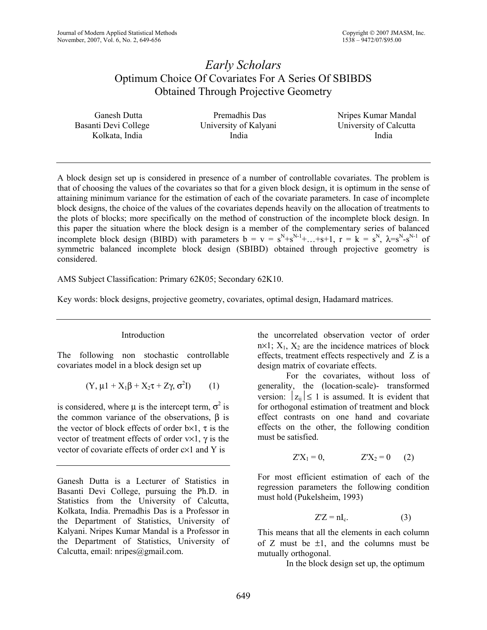## *Early Scholars*  Optimum Choice Of Covariates For A Series Of SBIBDS Obtained Through Projective Geometry

| Ganesh Dutta         | Premadhis Das         | Nripes Kumar Mandal    |
|----------------------|-----------------------|------------------------|
| Basanti Devi College | University of Kalyani | University of Calcutta |
| Kolkata, India       | India                 | India                  |

A block design set up is considered in presence of a number of controllable covariates. The problem is that of choosing the values of the covariates so that for a given block design, it is optimum in the sense of attaining minimum variance for the estimation of each of the covariate parameters. In case of incomplete block designs, the choice of the values of the covariates depends heavily on the allocation of treatments to the plots of blocks; more specifically on the method of construction of the incomplete block design. In this paper the situation where the block design is a member of the complementary series of balanced incomplete block design (BIBD) with parameters  $b = v = s^{N}+s^{N-1}+...+s+1$ ,  $r = k = s^{N}$ ,  $\lambda = s^{N} - s^{N-1}$  of symmetric balanced incomplete block design (SBIBD) obtained through projective geometry is considered.

AMS Subject Classification: Primary 62K05; Secondary 62K10.

Key words: block designs, projective geometry, covariates, optimal design, Hadamard matrices.

## Introduction

The following non stochastic controllable covariates model in a block design set up

$$
(Y, \mu 1 + X_1 \beta + X_2 \tau + Z \gamma, \sigma^2 I) \qquad (1)
$$

is considered, where  $\mu$  is the intercept term,  $\sigma^2$  is the common variance of the observations,  $β$  is the vector of block effects of order  $b \times 1$ ,  $\tau$  is the vector of treatment effects of order  $v \times 1$ ,  $\gamma$  is the vector of covariate effects of order c×1 and Y is

Ganesh Dutta is a Lecturer of Statistics in Basanti Devi College, pursuing the Ph.D. in Statistics from the University of Calcutta, Kolkata, India. Premadhis Das is a Professor in the Department of Statistics, University of Kalyani. Nripes Kumar Mandal is a Professor in the Department of Statistics, University of Calcutta, email: nripes@gmail.com.

the uncorrelated observation vector of order  $n \times 1$ ;  $X_1$ ,  $X_2$  are the incidence matrices of block effects, treatment effects respectively and Z is a design matrix of covariate effects.

For the covariates, without loss of generality, the (location-scale)- transformed version:  $|z_{ii}| \le 1$  is assumed. It is evident that for orthogonal estimation of treatment and block effect contrasts on one hand and covariate effects on the other, the following condition must be satisfied.

$$
Z'X_1 = 0, \qquad Z'X_2 = 0 \qquad (2)
$$

For most efficient estimation of each of the regression parameters the following condition must hold (Pukelsheim, 1993)

$$
Z'Z = nI_c.
$$
 (3)

This means that all the elements in each column of Z must be  $\pm 1$ , and the columns must be mutually orthogonal.

In the block design set up, the optimum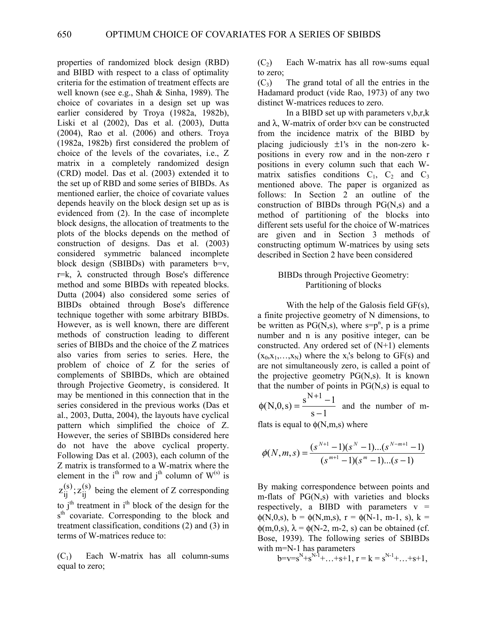properties of randomized block design (RBD) and BIBD with respect to a class of optimality criteria for the estimation of treatment effects are well known (see e.g., Shah & Sinha, 1989). The choice of covariates in a design set up was earlier considered by Troya (1982a, 1982b), Liski et al (2002), Das et al. (2003), Dutta (2004), Rao et al. (2006) and others. Troya (1982a, 1982b) first considered the problem of choice of the levels of the covariates, i.e., Z matrix in a completely randomized design (CRD) model. Das et al. (2003) extended it to the set up of RBD and some series of BIBDs. As mentioned earlier, the choice of covariate values depends heavily on the block design set up as is evidenced from (2). In the case of incomplete block designs, the allocation of treatments to the plots of the blocks depends on the method of construction of designs. Das et al. (2003) considered symmetric balanced incomplete block design (SBIBDs) with parameters b=v,  $r=k$ ,  $\lambda$  constructed through Bose's difference method and some BIBDs with repeated blocks. Dutta (2004) also considered some series of BIBDs obtained through Bose's difference technique together with some arbitrary BIBDs. However, as is well known, there are different methods of construction leading to different series of BIBDs and the choice of the Z matrices also varies from series to series. Here, the problem of choice of Z for the series of complements of SBIBDs, which are obtained through Projective Geometry, is considered. It may be mentioned in this connection that in the series considered in the previous works (Das et al., 2003, Dutta, 2004), the layouts have cyclical pattern which simplified the choice of Z. However, the series of SBIBDs considered here do not have the above cyclical property. Following Das et al. (2003), each column of the Z matrix is transformed to a W-matrix where the element in the  $i<sup>th</sup>$  row and  $j<sup>th</sup>$  column of  $W^{(s)}$  is (s) ij  $z_{ij}^{(s)}$ ;  $z_{ij}^{(s)}$  being the element of Z corresponding to  $j<sup>th</sup>$  treatment in  $i<sup>th</sup>$  block of the design for the s<sup>th</sup> covariate. Corresponding to the block and treatment classification, conditions (2) and (3) in terms of W-matrices reduce to:

 $(C_1)$  Each W-matrix has all column-sums equal to zero;

 $(C_2)$  Each W-matrix has all row-sums equal to zero;

 $(C_3)$  The grand total of all the entries in the Hadamard product (vide Rao, 1973) of any two distinct W-matrices reduces to zero.

In a BIBD set up with parameters v,b,r,k and  $\lambda$ , W-matrix of order b $\times v$  can be constructed from the incidence matrix of the BIBD by placing judiciously  $\pm 1$ 's in the non-zero kpositions in every row and in the non-zero r positions in every column such that each Wmatrix satisfies conditions  $C_1$ ,  $C_2$  and  $C_3$ mentioned above. The paper is organized as follows: In Section 2 an outline of the construction of BIBDs through PG(N,s) and a method of partitioning of the blocks into different sets useful for the choice of W-matrices are given and in Section 3 methods of constructing optimum W-matrices by using sets described in Section 2 have been considered

### BIBDs through Projective Geometry: Partitioning of blocks

 With the help of the Galosis field GF(s), a finite projective geometry of N dimensions, to be written as  $PG(N, s)$ , where  $s = p^n$ , p is a prime number and n is any positive integer, can be constructed. Any ordered set of (N+1) elements  $(x_0, x_1, \ldots, x_N)$  where the x<sub>i</sub>'s belong to GF(s) and are not simultaneously zero, is called a point of the projective geometry  $PG(N, s)$ . It is known that the number of points in  $PG(N,s)$  is equal to

 $s - 1$  $(N,0,s) = \frac{s^{N+1}-1}{s}$ −  $\phi(N,0,s) = \frac{s^{N+1} - s}{s}$ and the number of m-

flats is equal to  $\phi(N,m,s)$  where

$$
\phi(N,m,s) = \frac{(s^{N+1}-1)(s^N-1)...(s^{N-m+1}-1)}{(s^{m+1}-1)(s^m-1)...(s-1)}
$$

By making correspondence between points and m-flats of PG(N,s) with varieties and blocks respectively, a BIBD with parameters  $v =$  $\phi(N,0,s)$ ,  $b = \phi(N,m,s)$ ,  $r = \phi(N-1, m-1, s)$ ,  $k =$  $\phi(m,0,s)$ ,  $\lambda = \phi(N-2, m-2, s)$  can be obtained (cf. Bose, 1939). The following series of SBIBDs with m=N-1 has parameters

$$
b = v = s^{N} + s^{N-1} + \ldots + s + 1, r = k = s^{N-1} + \ldots + s + 1,
$$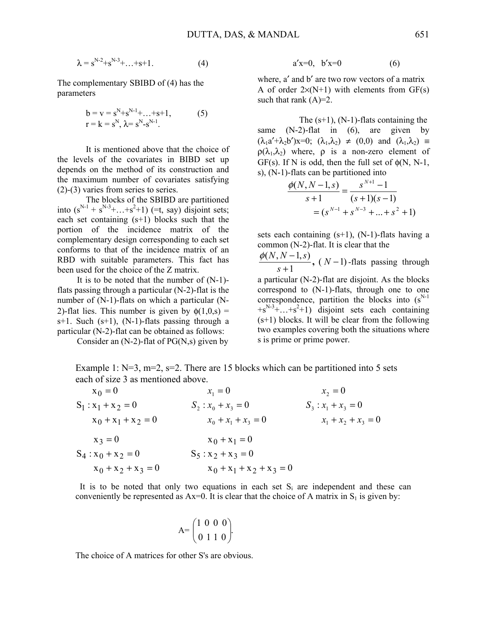$$
\lambda = s^{N-2} + s^{N-3} + \ldots + s + 1. \tag{4}
$$

The complementary SBIBD of (4) has the parameters

$$
b = v = s^{N} + s^{N-1} + ... + s + 1,
$$
  
\n
$$
r = k = s^{N}, \lambda = s^{N} - s^{N-1}.
$$
\n(5)

It is mentioned above that the choice of the levels of the covariates in BIBD set up depends on the method of its construction and the maximum number of covariates satisfying  $(2)-(3)$  varies from series to series.

The blocks of the SBIBD are partitioned into  $(s^{N-1} + s^{N-3} + ... + s^2 + 1)$  (=t, say) disjoint sets; each set containing (s+1) blocks such that the portion of the incidence matrix of the complementary design corresponding to each set conforms to that of the incidence matrix of an RBD with suitable parameters. This fact has been used for the choice of the Z matrix.

 It is to be noted that the number of (N-1) flats passing through a particular (N-2)-flat is the number of (N-1)-flats on which a particular (N-2)-flat lies. This number is given by  $\phi(1,0,s)$  =  $s+1$ . Such  $(s+1)$ ,  $(N-1)$ -flats passing through a particular (N-2)-flat can be obtained as follows:

Consider an  $(N-2)$ -flat of PG $(N,s)$  given by

$$
a'x=0, b'x=0
$$
 (6)

where, a' and b' are two row vectors of a matrix A of order  $2\times(N+1)$  with elements from GF(s) such that rank  $(A)=2$ .

The  $(s+1)$ ,  $(N-1)$ -flats containing the same (N-2)-flat in (6), are given by  $(\lambda_1 a' + \lambda_2 b')x = 0$ ;  $(\lambda_1, \lambda_2) \neq (0, 0)$  and  $(\lambda_1, \lambda_2) =$  $\rho(\lambda_1, \lambda_2)$  where,  $\rho$  is a non-zero element of GF(s). If N is odd, then the full set of  $\phi(N, N-1)$ , s), (N-1)-flats can be partitioned into

$$
\frac{\phi(N, N-1, s)}{s+1} = \frac{s^{N+1} - 1}{(s+1)(s-1)}
$$

$$
= (s^{N-1} + s^{N-3} + \dots + s^2 + 1)
$$

sets each containing  $(s+1)$ ,  $(N-1)$ -flats having a common (N-2)-flat. It is clear that the

 $\frac{(N, N-1, s)}{s+1}$ ,  $(N-1)$ *s*  $\frac{\phi(N, N-1, s)}{s}$ ,  $(N-1)$ -flats passing through

a particular (N-2)-flat are disjoint. As the blocks correspond to (N-1)-flats, through one to one correspondence, partition the blocks into  $(s^{N-1})$  $+s^{N-3}$ +...+s<sup>2</sup>+1) disjoint sets each containing (s+1) blocks. It will be clear from the following two examples covering both the situations where s is prime or prime power.

Example 1:  $N=3$ ,  $m=2$ ,  $s=2$ . There are 15 blocks which can be partitioned into 5 sets each of size 3 as mentioned above.

| $x_0 = 0$             | $x_1 = 0$                   | $x_2 = 0$             |
|-----------------------|-----------------------------|-----------------------|
| $S_1: x_1 + x_2 = 0$  | $S_2: x_0 + x_3 = 0$        | $S_3: x_1 + x_3 = 0$  |
| $x_0 + x_1 + x_2 = 0$ | $x_0 + x_1 + x_3 = 0$       | $x_1 + x_2 + x_3 = 0$ |
| $x_3 = 0$             | $x_0 + x_1 = 0$             |                       |
| $S_4: x_0 + x_2 = 0$  | $S_5: x_2 + x_3 = 0$        |                       |
| $x_0 + x_2 + x_3 = 0$ | $x_0 + x_1 + x_2 + x_3 = 0$ |                       |

It is to be noted that only two equations in each set  $S_i$  are independent and these can conveniently be represented as  $Ax=0$ . It is clear that the choice of A matrix in  $S_1$  is given by:

$$
A = \begin{pmatrix} 1 & 0 & 0 & 0 \\ 0 & 1 & 1 & 0 \end{pmatrix}.
$$

The choice of A matrices for other S's are obvious.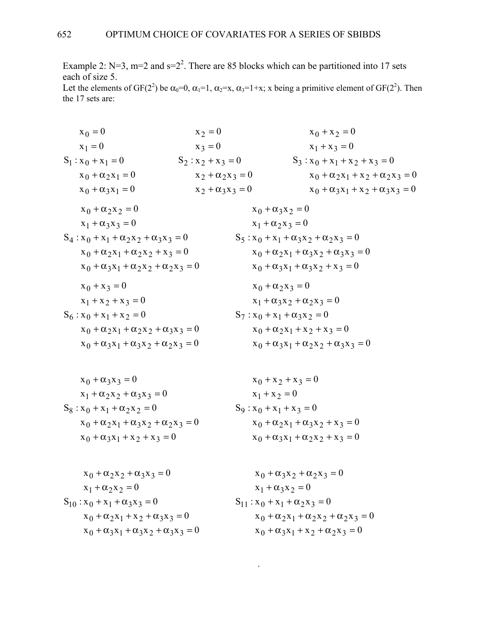Example 2:  $N=3$ ,  $m=2$  and  $s=2<sup>2</sup>$ . There are 85 blocks which can be partitioned into 17 sets each of size 5.

Let the elements of GF(2<sup>2</sup>) be  $\alpha_0=0$ ,  $\alpha_1=1$ ,  $\alpha_2=x$ ,  $\alpha_3=1+x$ ; x being a primitive element of GF(2<sup>2</sup>). Then the 17 sets are:

$$
x_0 = 0
$$
\n
$$
x_1 = 0
$$
\n
$$
x_2 = 0
$$
\n
$$
x_3 = 0
$$
\n
$$
x_1 + x_3 = 0
$$
\n
$$
x_0 + \alpha_2 x_1 = 0
$$
\n
$$
x_0 + \alpha_3 x_1 = 0
$$
\n
$$
x_1 + \alpha_3 x_2 = 0
$$
\n
$$
x_0 + \alpha_2 x_2 = 0
$$
\n
$$
x_1 + \alpha_3 x_3 = 0
$$
\n
$$
x_1 + \alpha_2 x_2 = 0
$$
\n
$$
x_1 + \alpha_3 x_3 = 0
$$
\n
$$
x_1 + \alpha_3 x_2 = 0
$$
\n
$$
x_1 + \alpha_2 x_2 = 0
$$
\n
$$
x_1 + \alpha_3 x_3 = 0
$$
\n
$$
x_1 + \alpha_3 x_2 = 0
$$
\n
$$
x_1 + \alpha_2 x_2 = 0
$$
\n
$$
x_1 + \alpha_3 x_2 = 0
$$
\n
$$
x_1 + \alpha_3 x_2 = 0
$$
\n
$$
x_1 + \alpha_2 x_3 = 0
$$
\n
$$
x_1 + \alpha_2 x_3 = 0
$$
\n
$$
x_1 + \alpha_2 x_3 = 0
$$
\n
$$
x_1 + \alpha_2 x_3 = 0
$$
\n
$$
x_1 + \alpha_2 x_3 = 0
$$
\n
$$
x_1 + \alpha_2 x_3 = 0
$$
\n
$$
x_1 + \alpha_2 x_3 = 0
$$
\n
$$
x_0 + \alpha_2 x_1 + \alpha_3 x_2 + \alpha_3 x_3 = 0
$$
\n
$$
x_0 + \alpha_2 x_1 + \alpha_3 x_2 + \alpha_3 x_3 = 0
$$
\n
$$
x_0 + \alpha_2 x_1 + \alpha_3 x_2 + \alpha_3 x_3 = 0
$$
\n
$$
x_0 + \alpha_2 x_3 = 0
$$
\n
$$
x_0 + \alpha_2 x_3 = 0
$$
\n
$$
x_0
$$

$$
x_0 + \alpha_3 x_3 = 0
$$
  
\n
$$
x_1 + \alpha_2 x_2 + \alpha_3 x_3 = 0
$$
  
\n
$$
S_8 : x_0 + x_1 + \alpha_2 x_2 = 0
$$
  
\n
$$
x_0 + x_2 + x_3 = 0
$$
  
\n
$$
S_9 : x_0 + x_1 + x_3 = 0
$$
  
\n
$$
x_0 + x_2 + x_3 = 0
$$
  
\n
$$
S_9 : x_0 + x_1 + x_3 = 0
$$
  
\n
$$
x_0 + \alpha_2 x_1 + \alpha_3 x_2 + x_3 = 0
$$
  
\n
$$
x_0 + \alpha_2 x_1 + \alpha_3 x_2 + x_3 = 0
$$
  
\n
$$
x_0 + \alpha_2 x_1 + \alpha_3 x_2 + x_3 = 0
$$

$$
x_0 + \alpha_2 x_2 + \alpha_3 x_3 = 0
$$
  
\n
$$
x_1 + \alpha_2 x_2 = 0
$$
  
\n
$$
S_{10} : x_0 + x_1 + \alpha_3 x_3 = 0
$$
  
\n
$$
x_0 + \alpha_3 x_2 + \alpha_2 x_3 = 0
$$
  
\n
$$
S_{11} : x_0 + x_1 + \alpha_2 x_3 = 0
$$
  
\n
$$
x_0 + \alpha_2 x_1 + \alpha_3 x_2 = 0
$$
  
\n
$$
x_0 + \alpha_2 x_1 + \alpha_2 x_3 = 0
$$
  
\n
$$
x_0 + \alpha_3 x_1 + \alpha_2 x_3 = 0
$$
  
\n
$$
x_0 + \alpha_3 x_1 + \alpha_2 x_2 + \alpha_3 x_3 = 0
$$
  
\n
$$
x_0 + \alpha_3 x_1 + x_2 + \alpha_2 x_3 = 0
$$

.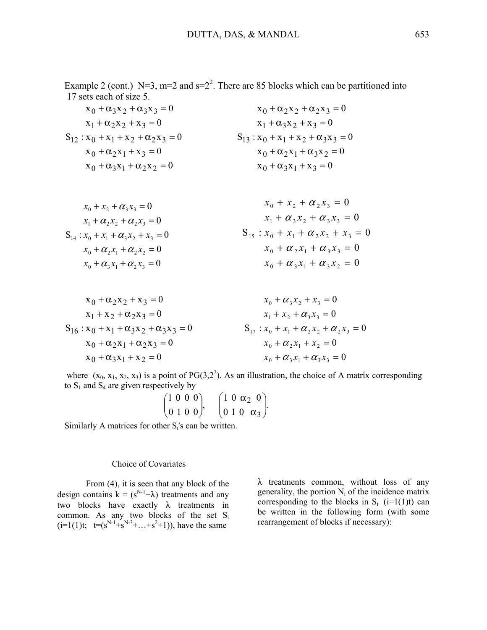Example 2 (cont.) N=3, m=2 and  $s=2<sup>2</sup>$ . There are 85 blocks which can be partitioned into 17 sets each of size 5.

$$
x_0 + \alpha_3 x_2 + \alpha_3 x_3 = 0
$$
  
\n
$$
x_1 + \alpha_2 x_2 + x_3 = 0
$$
  
\n
$$
S_{12} : x_0 + x_1 + x_2 + \alpha_2 x_3 = 0
$$
  
\n
$$
x_0 + \alpha_3 x_2 + x_3 = 0
$$
  
\n
$$
S_{13} : x_0 + x_1 + x_2 + \alpha_3 x_3 = 0
$$
  
\n
$$
x_0 + \alpha_2 x_1 + x_2 + \alpha_3 x_3 = 0
$$
  
\n
$$
x_0 + \alpha_3 x_1 + x_2 + \alpha_3 x_2 = 0
$$
  
\n
$$
x_0 + \alpha_3 x_1 + x_2 + \alpha_3 x_3 = 0
$$
  
\n
$$
x_0 + \alpha_3 x_1 + x_3 = 0
$$

$$
x_0 + x_2 + \alpha_3 x_3 = 0
$$
  
\n
$$
x_1 + \alpha_2 x_2 + \alpha_3 x_3 = 0
$$
  
\n
$$
S_{14} : x_0 + x_1 + \alpha_3 x_2 + x_3 = 0
$$
  
\n
$$
x_0 + x_2 + \alpha_2 x_3 = 0
$$
  
\n
$$
S_{15} : x_0 + x_1 + \alpha_2 x_2 + x_3 = 0
$$
  
\n
$$
S_{15} : x_0 + x_1 + \alpha_2 x_2 + x_3 = 0
$$
  
\n
$$
x_0 + \alpha_2 x_1 + \alpha_3 x_3 = 0
$$
  
\n
$$
x_0 + \alpha_2 x_1 + \alpha_3 x_3 = 0
$$
  
\n
$$
x_0 + \alpha_3 x_1 + \alpha_3 x_2 = 0
$$

$$
x_0 + \alpha_2 x_2 + x_3 = 0
$$
  
\n
$$
x_1 + x_2 + \alpha_2 x_3 = 0
$$
  
\n
$$
S_{16} : x_0 + x_1 + \alpha_3 x_2 + \alpha_3 x_3 = 0
$$
  
\n
$$
x_0 + \alpha_3 x_2 + x_3 = 0
$$
  
\n
$$
S_{17} : x_0 + x_1 + \alpha_2 x_2 + \alpha_3 x_3 = 0
$$
  
\n
$$
S_{18} : x_0 + x_1 + \alpha_2 x_2 + \alpha_3 x_3 = 0
$$
  
\n
$$
S_{19} : x_0 + x_1 + \alpha_2 x_2 + \alpha_2 x_3 = 0
$$
  
\n
$$
S_{10} : x_0 + x_1 + x_2 = 0
$$
  
\n
$$
S_{10} : x_0 + x_1 + x_2 = 0
$$
  
\n
$$
S_{10} : x_0 + x_1 + x_2 = 0
$$

where  $(x_0, x_1, x_2, x_3)$  is a point of PG(3,2<sup>2</sup>). As an illustration, the choice of A matrix corresponding to  $S_1$  and  $S_4$  are given respectively by

$$
\begin{pmatrix}\n1 & 0 & 0 & 0 \\
0 & 1 & 0 & 0\n\end{pmatrix}, \quad\n\begin{pmatrix}\n1 & 0 & \alpha_2 & 0 \\
0 & 1 & 0 & \alpha_3\n\end{pmatrix}.
$$

Similarly A matrices for other  $S_i$ 's can be written.

#### Choice of Covariates

From (4), it is seen that any block of the design contains  $k = (s^{N-1} + \lambda)$  treatments and any two blocks have exactly λ treatments in common. As any two blocks of the set  $S_i$  $(i=1(1)t; t=(s^{N-1}+s^{N-3}+\ldots+s^{2}+1)),$  have the same

λ treatments common, without loss of any generality, the portion  $N_i$  of the incidence matrix corresponding to the blocks in  $S_i$  (i=1(1)t) can be written in the following form (with some rearrangement of blocks if necessary):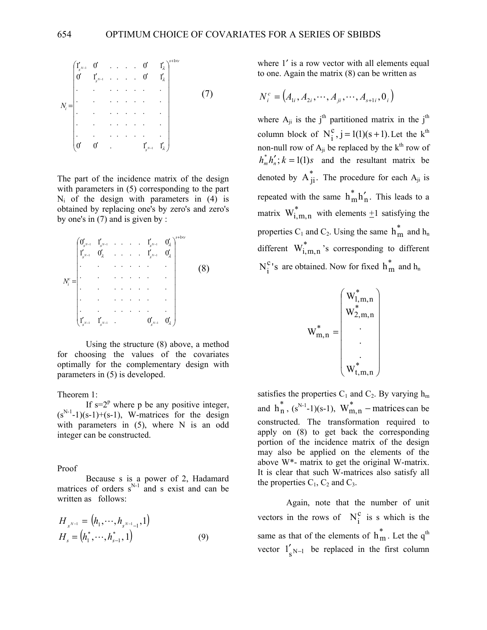$$
N_{i} = \begin{bmatrix} 1'_{s^{N-1}} & 0' & \dots & 0' & 1'_{\lambda} \\ 0' & 1'_{s^{N-1}} & \dots & 0' & 1'_{\lambda} \\ \vdots & \vdots & \vdots & \ddots & \vdots \\ 0 & 0 & \dots & \dots & \vdots \\ 0 & 0 & \dots & 1'_{s^{N-1}} & 1'_{\lambda} \end{bmatrix}^{s+bw}
$$
\n(7)

The part of the incidence matrix of the design with parameters in  $(5)$  corresponding to the part  $N_i$  of the design with parameters in (4) is obtained by replacing one's by zero's and zero's by one's in (7) and is given by :

$$
N_i^c = \begin{bmatrix} 0'_{s^{N-1}} & 1'_{s^{N-1}} & \dots & 1'_{s^{N-1}} & 0'_{\lambda} \\ 1'_{s^{N-1}} & 0'_{\lambda} & \dots & 1'_{s^{N-1}} & 0'_{\lambda} \\ \vdots & \vdots & \vdots & \ddots & \vdots \\ 0 & \dots & \vdots & \vdots & \vdots \\ 0 & \dots & \dots & \dots & \vdots \\ \vdots & \vdots & \vdots & \vdots & \vdots \\ 0 & \dots & \dots & \dots & \dots \\ 0 & \dots & \dots & \dots & \dots \\ 0 & \dots & \dots & \dots & \dots \\ 0 & \dots & \dots & \dots & \dots \\ 0 & \dots & \dots & \dots & \dots \\ 0 & \dots & \dots & \dots & \dots \\ 0 & \dots & \dots & \dots & \dots \\ 0 & \dots & \dots & \dots & \dots \\ 0 & \dots & \dots & \dots & \dots \\ 0 & \dots & \dots & \dots & \dots \\ 0 & \dots & \dots & \dots & \dots \\ 0 & \dots & \dots & \dots & \dots \\ 0 & \dots & \dots & \dots & \dots \\ 0 & \dots & \dots & \dots & \dots \\ 0 & \dots & \dots & \dots & \dots \\ 0 & \dots & \dots & \dots & \dots \\ 0 & \dots & \dots & \dots & \dots \\ 0 & \dots & \dots & \dots & \dots \\ 0 & \dots & \dots & \dots & \dots \\ 0 & \dots & \dots & \dots & \dots \\ 0 & \dots & \dots & \dots & \dots \\ 0 & \dots & \dots & \dots & \dots \\ 0 & \dots & \dots & \dots & \dots \\ 0 & \dots & \dots & \dots & \dots \\ 0 & \dots & \dots & \dots & \dots \\ 0 & \dots & \dots & \dots & \dots \\ 0 & \dots & \dots & \dots & \dots \\ 0 & \dots & \dots & \dots & \dots \\ 0 & \dots & \dots & \dots & \dots \\ 0 & \dots & \dots & \dots & \dots \\ 0 & \dots & \dots & \dots & \dots \\ 0 & \dots & \dots & \dots & \dots \\ 0 & \dots & \dots & \dots & \dots \\ 0 & \dots & \dots & \dots & \dots \\ 0 & \dots & \dots & \dots & \dots \\ 0 & \dots & \dots & \dots & \dots \\ 0 & \dots & \dots & \dots & \dots \\ 0 & \dots & \dots & \dots & \dots \\ 0 & \dots & \dots & \dots & \dots \\ 0 & \
$$

Using the structure (8) above, a method for choosing the values of the covariates optimally for the complementary design with parameters in (5) is developed.

Theorem 1:

If  $s=2^p$  where p be any positive integer,  $(s^{N-1}-1)(s-1)+(s-1)$ , W-matrices for the design with parameters in (5), where N is an odd integer can be constructed.

Proof

Because s is a power of 2, Hadamard matrices of orders  $s^{N-1}$  and s exist and can be written as follows:

$$
H_{s^{N-1}} = (h_1, \cdots, h_{s^{N-1}-1}, 1)
$$
  
\n
$$
H_s = (h_1^*, \cdots, h_{s-1}^*, 1)
$$
\n(9)

where 1' is a row vector with all elements equal to one. Again the matrix (8) can be written as

$$
N_i^c = (A_{1i}, A_{2i}, \cdots, A_{ji}, \cdots, A_{s+1i}, 0_i)
$$

where  $A_{ji}$  is the j<sup>th</sup> partitioned matrix in the j<sup>th</sup> column block of  $N_i^c$ ,  $j = 1(1)(s + 1)$ . Let the k<sup>th</sup> non-null row of  $A_{ii}$  be replaced by the  $k^{th}$  row of  $h_m^* h'_n$ ;  $k = 1(1)s$  and the resultant matrix be denoted by  $A_{ji}^*$ . The procedure for each  $A_{ji}$  is repeated with the same  $h_m^*h'_n$ . This leads to a matrix  $W_{i,m,n}^*$  with elements  $\pm 1$  satisfying the properties  $C_1$  and  $C_2$ . Using the same  $h_m^*$  and  $h_n$ different  $W_{i,m,n}^*$  's corresponding to different  $N_i^c$ 's are obtained. Now for fixed  $h_m^*$  and  $h_n$ 

⎟ ⎟ ⎟ ⎟ ⎟ ⎟ ⎟ ⎟ ⎠ ⎞ ⎜ ⎜ ⎜ ⎜ ⎜ ⎜ ⎜ ⎜ ⎝ ⎛ = \* t,m,n \* 2,m,n \* 1,m,n \* m,n W . . . W W W

satisfies the properties  $C_1$  and  $C_2$ . By varying  $h_m$ and  $h_n^*$ ,  $(s^{N-1}-1)(s-1)$ ,  $W_{m,n}^*$  – matrices can be constructed. The transformation required to apply on (8) to get back the corresponding portion of the incidence matrix of the design may also be applied on the elements of the above W\*- matrix to get the original W-matrix. It is clear that such W-matrices also satisfy all the properties  $C_1$ ,  $C_2$  and  $C_3$ .

Again, note that the number of unit vectors in the rows of  $N_i^c$  is s which is the same as that of the elements of  $h_m^*$ . Let the q<sup>th</sup> vector  $1'_{s}$ <sub>N-1</sub> be replaced in the first column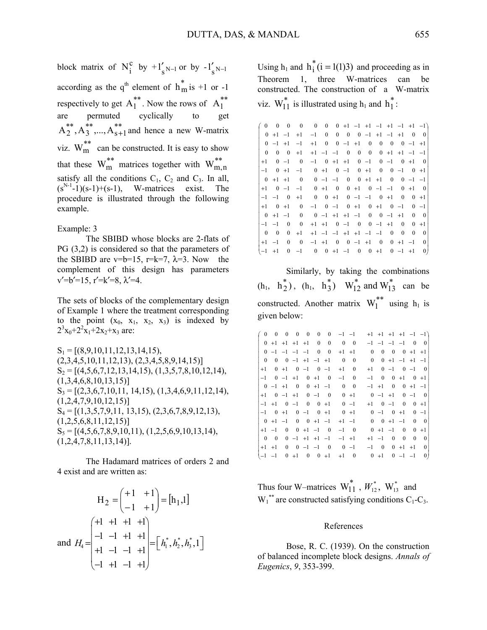block matrix of  $N_i^c$  by  $+1'_{s^{N-1}}$  or by  $-1'_{s^{N-1}}$ according as the  $q^{th}$  element of  $h_m^*$  is +1 or -1 respectively to get  $A_1^{**}$ . Now the rows of  $A_1^{**}$ are permuted cyclically to  $A_2^{**}, A_3^{**},..., A_{s+1}^{**}$  and hence a new W-matrix viz.  $W_{m}^{**}$  can be constructed. It is easy to show that these  $W_m^{**}$  matrices together with  $W_{m,n}^{**}$ satisfy all the conditions  $C_1$ ,  $C_2$  and  $C_3$ . In all,  $(s^{N-1}-1)(s-1)+(s-1)$ , W-matrices exist. The procedure is illustrated through the following example.

#### Example: 3

 The SBIBD whose blocks are 2-flats of PG (3,2) is considered so that the parameters of the SBIBD are v=b=15, r=k=7,  $\lambda$ =3. Now the complement of this design has parameters  $v'=b'=15$ ,  $r'=k'=8$ ,  $\lambda'=4$ .

The sets of blocks of the complementary design of Example 1 where the treatment corresponding to the point  $(x_0, x_1, x_2, x_3)$  is indexed by  $2^3x_0+2^2x_1+2x_2+x_3$  are:

 $S_1 = [(8,9,10,11,12,13,14,15),$  $(2,3,4,5,10,11,12,13), (2,3,4,5,8,9,14,15)]$  $S_2 = [(4,5,6,7,12,13,14,15), (1,3,5,7,8,10,12,14),$  $(1,3,4,6,8,10,13,15)]$  $S_3 = [(2,3,6,7,10,11, 14,15), (1,3,4,6,9,11,12,14),$  $(1,2,4,7,9,10,12,15)]$  $S_4 = \left[ (1,3,5,7,9,11, 13,15), (2,3,6,7,8,9,12,13) \right]$  $(1,2,5,6,8,11,12,15)$  $S_5 = [(4,5,6,7,8,9,10,11), (1,2,5,6,9,10,13,14),$ (1,2,4,7,8,11,13,14)].

The Hadamard matrices of orders 2 and 4 exist and are written as:

$$
H_2 = \begin{pmatrix} +1 & +1 \\ -1 & +1 \end{pmatrix} = [h_1, 1]
$$
  
and  $H_4 = \begin{pmatrix} +1 & +1 & +1 \\ -1 & -1 & +1 & +1 \\ +1 & -1 & -1 & +1 \\ -1 & +1 & -1 & +1 \end{pmatrix} = \begin{bmatrix} h_1^*, h_2^*, h_3^*, 1 \end{bmatrix}$ 

Using  $h_1$  and  $h_1^*(i = 1(1)3)$  and proceeding as in Theorem 1, three W-matrices can be constructed. The construction of a W-matrix viz.  $W_{11}^*$  is illustrated using  $h_1$  and  $h_1^*$ :

| $\mathbf{0}$            | $\sim 0$     |                |                          | $0 \t 0 \t 0 \t 0 \t 0 +1 -1 +1 -1 +1 -1 +1 -1$ |        |  |                                                            |  |  |          |                    |
|-------------------------|--------------|----------------|--------------------------|-------------------------------------------------|--------|--|------------------------------------------------------------|--|--|----------|--------------------|
|                         |              | $0 +1 -1$      | $+1$                     |                                                 |        |  | $-1$ 0 0 0 0 -1 +1 -1 +1                                   |  |  | $\sim 0$ | $\overline{0}$     |
|                         | $0 -1 +1$    |                | $-1$                     |                                                 |        |  | $+1$ 0 0 -1 +1 0 0 0 0 -1 +1                               |  |  |          |                    |
| $\mathbf{0}$            | $\mathbf{0}$ | $\sim 0$       | $+1$                     |                                                 |        |  | $+1$ $-1$ $-1$ 0 0 0 0 +1 +1 $-1$ $-1$                     |  |  |          |                    |
| $+1$                    |              | $0 -1$         | $\overline{\phantom{0}}$ |                                                 |        |  | $-1$ 0 +1 +1 0 -1 0 -1 0 +1                                |  |  |          | $\sim$ 0           |
| $-1$                    | $0 +1$       |                | $-1$                     | $0 + 1$ $0 -1$ $0 + 1$ $0$ $0 -1$ $0 +1$        |        |  |                                                            |  |  |          |                    |
|                         | $0 +1 +1$    |                | $\overline{\phantom{0}}$ | $0 -1 -1 0 0 +1 +1 0 0 -1 -1$                   |        |  |                                                            |  |  |          |                    |
| $+1$                    |              |                | $0 -1 -1$                |                                                 | $0 +1$ |  | $0 \t 0 \t +1 \t 0 \t -1 \t -1 \t 0 \t +1$                 |  |  |          | $\hspace{0.1em} 0$ |
|                         | $-1$ $-1$ 0  |                | $+1$                     |                                                 |        |  | $0 \t 0 \t +1 \t 0 \t -1 \t -1 \t 0 \t +1 \t 0 \t 0 \t +1$ |  |  |          |                    |
| $+1$                    | $0 +1$       |                | $\sim 0$                 |                                                 |        |  | $-1$ 0 $-1$ 0 $+1$ 0 $+1$ 0 $-1$                           |  |  |          | $0 -1$             |
|                         | $0 +1 -1$    |                | $\sim 0$                 | $0 -1 +1 +1 -1 0 0 -1 +1$                       |        |  |                                                            |  |  | $\sim 0$ | $\sim$ 0           |
| $-1$ $-1$               |              | $\overline{0}$ | $\overline{0}$           |                                                 |        |  | $+1$ $+1$ 0 $-1$ 0 0 $-1$ $+1$ 0                           |  |  |          | $0 +1$             |
| $\overline{\mathbf{0}}$ | $\sim 0$     |                | $0 +1$                   |                                                 |        |  | $+1$ $-1$ $-1$ $+1$ $+1$ $-1$ $-1$ 0 0                     |  |  | $\bf{0}$ | $\mathbf{0}$       |
| $+1$                    | $-1$         | $\mathbf{0}$   | $\overline{\phantom{0}}$ | $-1$ +1 0 0 -1 +1 0 0 +1 -1                     |        |  |                                                            |  |  |          | $\mathbf{0}$       |
| $(-1 +1)$               |              |                |                          | $0 -1$ 0 0 +1 -1 0 0 +1 0 -1 +1                 |        |  |                                                            |  |  |          | 0)                 |

Similarly, by taking the combinations  $(h_1, h_2^*)$ ,  $(h_1, h_3^*)$   $W_{12}^*$  and  $W_{13}^*$  can be constructed. Another matrix  $W_1^*$  using  $h_1$  is given below:

| $\mathbf{0}$             | $\overline{0}$ |        | $0\quad 0$ | $\mathbf{0}$            | $\mathbf{0}$              | $\boldsymbol{0}$         | $-1$ $-1$          |                |              |              |                      |            |                           | $+1$ $+1$ $+1$ $+1$ $-1$ $-1$ |
|--------------------------|----------------|--------|------------|-------------------------|---------------------------|--------------------------|--------------------|----------------|--------------|--------------|----------------------|------------|---------------------------|-------------------------------|
|                          |                |        |            |                         | $0 +1 +1 +1 +1 0 0$       |                          | $0\quad 0$         |                |              |              |                      |            | $-1$ $-1$ $-1$ $-1$ 0 0   |                               |
|                          |                |        |            | $0 -1 -1 -1 -1 0$       |                           | $\overline{\phantom{0}}$ | $+1$ $+1$          |                | $\mathbf{0}$ | $\mathbf{0}$ |                      |            | $0 \t 0 +1 +1$            |                               |
| $\mathbf{0}$             | $\bf{0}$       |        |            |                         | $0 -1 +1 -1 +1$           |                          | $\sim 0$           | $\overline{0}$ |              |              |                      |            | $0 \t 0 +1 -1 +1 -1$      |                               |
| $+1$                     |                | $0 +1$ |            |                         | $0 -1 0 -1$               |                          | $+1$               | $\mathbf{0}$   | $+1$         |              |                      |            | $0 -1 0 -1 0$             |                               |
|                          |                |        |            | $-1$ 0 $-1$ $+1$ 0 $+1$ |                           | $\sim$ 0                 | $-1$               | $\mathbf{0}$   | $-1$         |              |                      |            | $0 \t 0 \t +1 \t 0 \t +1$ |                               |
|                          | $0 -1 +1$      |        |            |                         | $0 \t 0 \t +1 \t -1$      |                          | $\bf{0}$           | $\sim 0$       |              |              |                      |            | $-1$ +1 0 0 +1 -1         |                               |
| $+1$                     |                |        |            | $0 -1 +1 0 -1$          |                           | $\sim 0$                 | $0 +1$             |                |              |              |                      |            | $0 -1 +1 0 -1 0$          |                               |
|                          |                |        |            |                         | $-1$ +1 0 -1 0 0 +1       |                          | $0 -1$             |                |              |              |                      |            | $+1$ 0 $-1$ 0 0 $+1$      |                               |
| $-1$                     | $0 +1$         |        |            |                         | $0 -1 0 +1$               |                          | $0 + 1$            |                |              |              | $0 -1 0 +1$          |            |                           | $0 -1$                        |
|                          |                |        |            |                         | $0 +1 -1 0 0 +1 -1$       |                          | $+1$ $-1$          |                |              |              | $0 \t 0 \t +1 \t -1$ |            |                           | $0 \quad 0$                   |
| $+1$ $-1$                |                |        |            |                         | $0 \t 0 +1 -1 \t 0$       |                          | $-1$ 0             |                |              |              | $0 +1 -1 0$          |            |                           | $0 +1$                        |
| $\overline{\phantom{0}}$ | $\overline{0}$ |        |            |                         |                           | $0 -1 +1 +1 -1$          | $-1$ +1            |                | $+1$ $-1$    |              |                      | $0\quad 0$ | $\mathbf{0}$              | $\mathbf{0}$                  |
|                          | $+1$ $+1$      |        |            |                         | $0 \t 0 \t -1 \t -1 \t 0$ |                          | $0 -1$             |                | $-1$ 0       |              |                      |            | $0 + 1 + 1$               | $\mathbf{0}$                  |
| $(-1 -1$                 |                |        |            |                         |                           |                          | $0 +1 0 0 +1 +1 0$ |                |              | $0 +1$       |                      |            | $0 -1 -1$                 | $\left( 0 \right)$            |

Thus four W-matrices  $W_{11}^*$ ,  $W_{12}^*$ ,  $W_{13}^*$  and  $W_1^*$  are constructed satisfying conditions  $C_1-C_3$ .

#### References

Bose, R. C. (1939). On the construction of balanced incomplete block designs. *Annals of Eugenics*, *9*, 353-399.